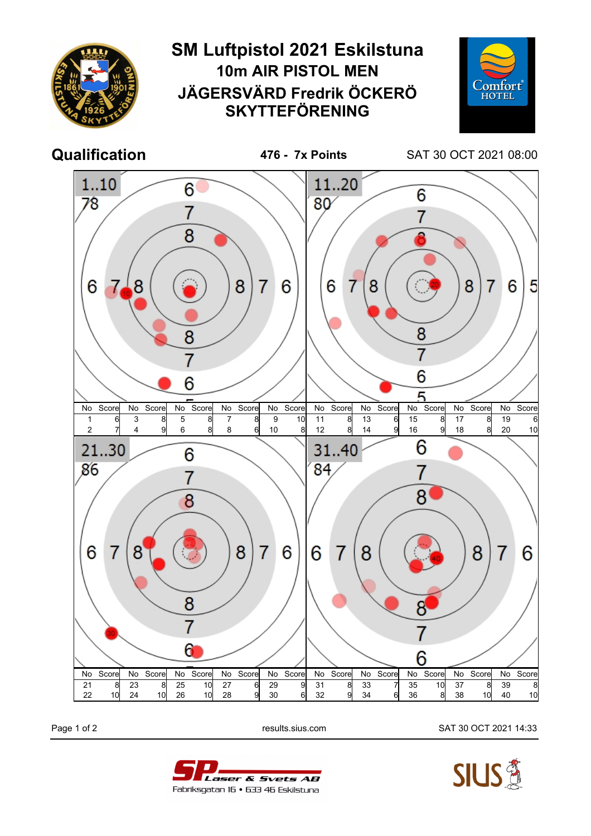

Page 1 of 2 results.sius.com SAT 30 OCT 2021 14:33